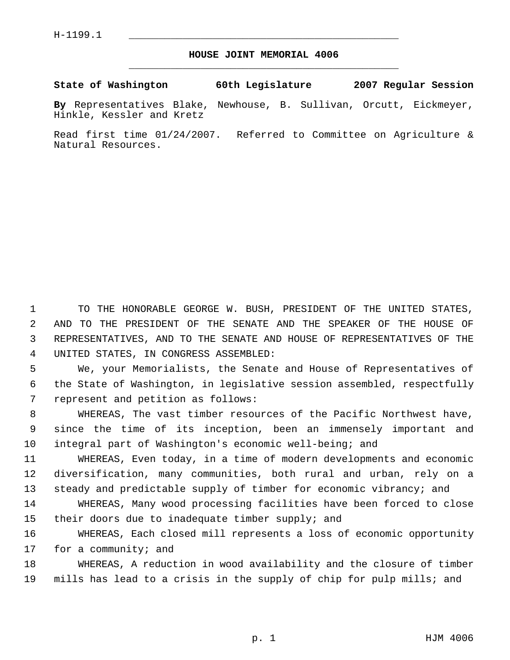## **HOUSE JOINT MEMORIAL 4006** \_\_\_\_\_\_\_\_\_\_\_\_\_\_\_\_\_\_\_\_\_\_\_\_\_\_\_\_\_\_\_\_\_\_\_\_\_\_\_\_\_\_\_\_\_

**State of Washington 60th Legislature 2007 Regular Session**

**By** Representatives Blake, Newhouse, B. Sullivan, Orcutt, Eickmeyer, Hinkle, Kessler and Kretz

Read first time 01/24/2007. Referred to Committee on Agriculture & Natural Resources.

 TO THE HONORABLE GEORGE W. BUSH, PRESIDENT OF THE UNITED STATES, AND TO THE PRESIDENT OF THE SENATE AND THE SPEAKER OF THE HOUSE OF REPRESENTATIVES, AND TO THE SENATE AND HOUSE OF REPRESENTATIVES OF THE UNITED STATES, IN CONGRESS ASSEMBLED:

 We, your Memorialists, the Senate and House of Representatives of the State of Washington, in legislative session assembled, respectfully represent and petition as follows:

 WHEREAS, The vast timber resources of the Pacific Northwest have, since the time of its inception, been an immensely important and integral part of Washington's economic well-being; and

 WHEREAS, Even today, in a time of modern developments and economic diversification, many communities, both rural and urban, rely on a 13 steady and predictable supply of timber for economic vibrancy; and

 WHEREAS, Many wood processing facilities have been forced to close their doors due to inadequate timber supply; and

 WHEREAS, Each closed mill represents a loss of economic opportunity 17 for a community; and

 WHEREAS, A reduction in wood availability and the closure of timber mills has lead to a crisis in the supply of chip for pulp mills; and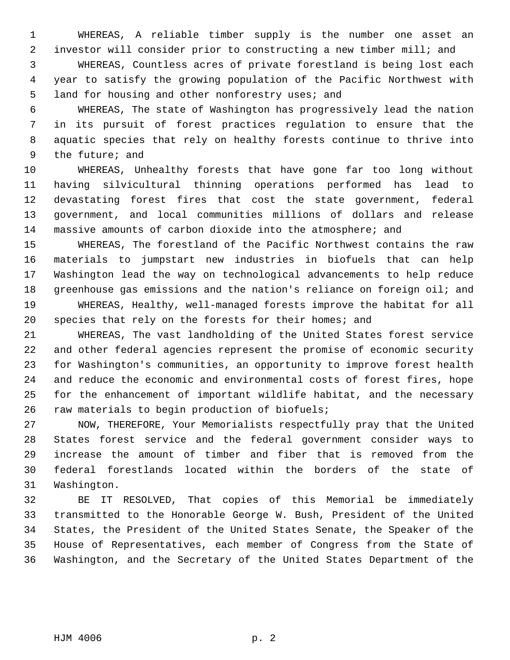WHEREAS, A reliable timber supply is the number one asset an investor will consider prior to constructing a new timber mill; and

 WHEREAS, Countless acres of private forestland is being lost each year to satisfy the growing population of the Pacific Northwest with land for housing and other nonforestry uses; and

 WHEREAS, The state of Washington has progressively lead the nation in its pursuit of forest practices regulation to ensure that the aquatic species that rely on healthy forests continue to thrive into the future; and

 WHEREAS, Unhealthy forests that have gone far too long without having silvicultural thinning operations performed has lead to devastating forest fires that cost the state government, federal government, and local communities millions of dollars and release massive amounts of carbon dioxide into the atmosphere; and

 WHEREAS, The forestland of the Pacific Northwest contains the raw materials to jumpstart new industries in biofuels that can help Washington lead the way on technological advancements to help reduce greenhouse gas emissions and the nation's reliance on foreign oil; and WHEREAS, Healthy, well-managed forests improve the habitat for all species that rely on the forests for their homes; and

 WHEREAS, The vast landholding of the United States forest service and other federal agencies represent the promise of economic security for Washington's communities, an opportunity to improve forest health and reduce the economic and environmental costs of forest fires, hope for the enhancement of important wildlife habitat, and the necessary raw materials to begin production of biofuels;

 NOW, THEREFORE, Your Memorialists respectfully pray that the United States forest service and the federal government consider ways to increase the amount of timber and fiber that is removed from the federal forestlands located within the borders of the state of Washington.

 BE IT RESOLVED, That copies of this Memorial be immediately transmitted to the Honorable George W. Bush, President of the United States, the President of the United States Senate, the Speaker of the House of Representatives, each member of Congress from the State of Washington, and the Secretary of the United States Department of the